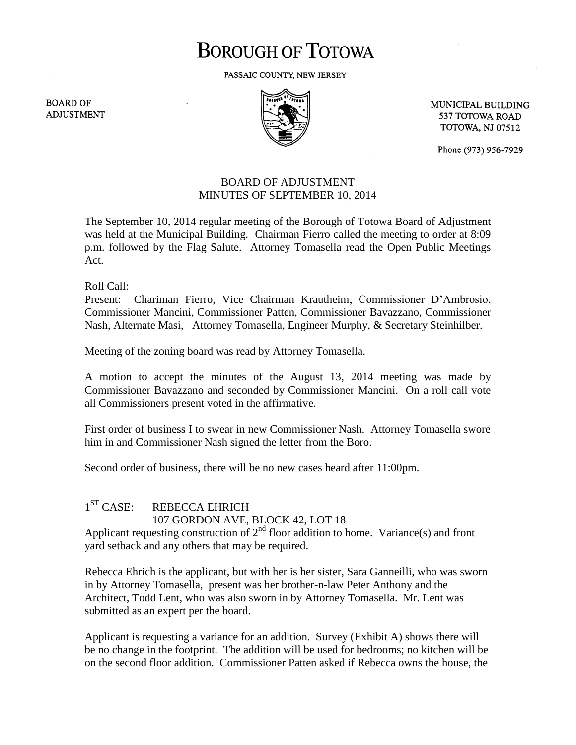# **BOROUGH OF TOTOWA**

PASSAIC COUNTY, NEW JERSEY

**BOARD OF ADJUSTMENT** 



MUNICIPAL BUILDING 537 TOTOWA ROAD **TOTOWA, NJ 07512** 

Phone (973) 956-7929

## BOARD OF ADJUSTMENT MINUTES OF SEPTEMBER 10, 2014

The September 10, 2014 regular meeting of the Borough of Totowa Board of Adjustment was held at the Municipal Building. Chairman Fierro called the meeting to order at 8:09 p.m. followed by the Flag Salute. Attorney Tomasella read the Open Public Meetings Act.

Roll Call:

Present: Chariman Fierro, Vice Chairman Krautheim, Commissioner D'Ambrosio, Commissioner Mancini, Commissioner Patten, Commissioner Bavazzano, Commissioner Nash, Alternate Masi, Attorney Tomasella, Engineer Murphy, & Secretary Steinhilber.

Meeting of the zoning board was read by Attorney Tomasella.

A motion to accept the minutes of the August 13, 2014 meeting was made by Commissioner Bavazzano and seconded by Commissioner Mancini. On a roll call vote all Commissioners present voted in the affirmative.

First order of business I to swear in new Commissioner Nash. Attorney Tomasella swore him in and Commissioner Nash signed the letter from the Boro.

Second order of business, there will be no new cases heard after 11:00pm.

#### $1<sup>ST</sup> CASE:$ REBECCA EHRICH 107 GORDON AVE, BLOCK 42, LOT 18

Applicant requesting construction of  $2<sup>nd</sup>$  floor addition to home. Variance(s) and front yard setback and any others that may be required.

Rebecca Ehrich is the applicant, but with her is her sister, Sara Ganneilli, who was sworn in by Attorney Tomasella, present was her brother-n-law Peter Anthony and the Architect, Todd Lent, who was also sworn in by Attorney Tomasella. Mr. Lent was submitted as an expert per the board.

Applicant is requesting a variance for an addition. Survey (Exhibit A) shows there will be no change in the footprint. The addition will be used for bedrooms; no kitchen will be on the second floor addition. Commissioner Patten asked if Rebecca owns the house, the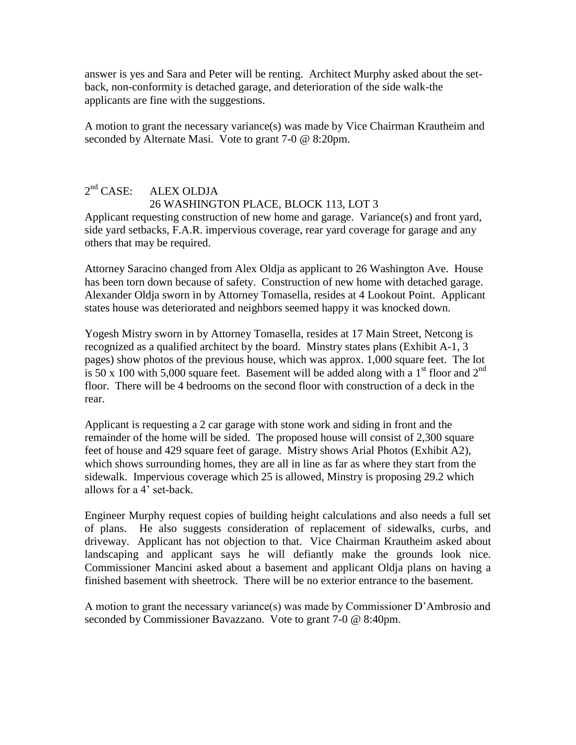answer is yes and Sara and Peter will be renting. Architect Murphy asked about the setback, non-conformity is detached garage, and deterioration of the side walk-the applicants are fine with the suggestions.

A motion to grant the necessary variance(s) was made by Vice Chairman Krautheim and seconded by Alternate Masi. Vote to grant 7-0 @ 8:20pm.

#### $2<sup>nd</sup> CASE:$ ALEX OLDJA 26 WASHINGTON PLACE, BLOCK 113, LOT 3

Applicant requesting construction of new home and garage. Variance(s) and front yard, side yard setbacks, F.A.R. impervious coverage, rear yard coverage for garage and any others that may be required.

Attorney Saracino changed from Alex Oldja as applicant to 26 Washington Ave. House has been torn down because of safety. Construction of new home with detached garage. Alexander Oldja sworn in by Attorney Tomasella, resides at 4 Lookout Point. Applicant states house was deteriorated and neighbors seemed happy it was knocked down.

Yogesh Mistry sworn in by Attorney Tomasella, resides at 17 Main Street, Netcong is recognized as a qualified architect by the board. Minstry states plans (Exhibit A-1, 3 pages) show photos of the previous house, which was approx. 1,000 square feet. The lot is 50 x 100 with 5,000 square feet. Basement will be added along with a 1<sup>st</sup> floor and 2<sup>nd</sup> floor. There will be 4 bedrooms on the second floor with construction of a deck in the rear.

Applicant is requesting a 2 car garage with stone work and siding in front and the remainder of the home will be sided. The proposed house will consist of 2,300 square feet of house and 429 square feet of garage. Mistry shows Arial Photos (Exhibit A2), which shows surrounding homes, they are all in line as far as where they start from the sidewalk. Impervious coverage which 25 is allowed, Minstry is proposing 29.2 which allows for a 4' set-back.

Engineer Murphy request copies of building height calculations and also needs a full set of plans. He also suggests consideration of replacement of sidewalks, curbs, and driveway. Applicant has not objection to that. Vice Chairman Krautheim asked about landscaping and applicant says he will defiantly make the grounds look nice. Commissioner Mancini asked about a basement and applicant Oldja plans on having a finished basement with sheetrock. There will be no exterior entrance to the basement.

A motion to grant the necessary variance(s) was made by Commissioner D'Ambrosio and seconded by Commissioner Bavazzano. Vote to grant 7-0 @ 8:40pm.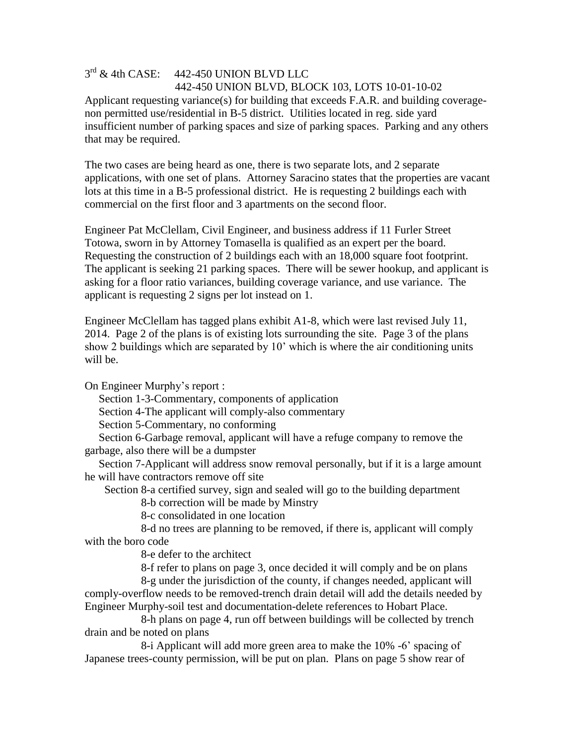# $3<sup>rd</sup>$  & 4th CASE: 442-450 UNION BLVD LLC 442-450 UNION BLVD, BLOCK 103, LOTS 10-01-10-02 Applicant requesting variance(s) for building that exceeds F.A.R. and building coveragenon permitted use/residential in B-5 district. Utilities located in reg. side yard insufficient number of parking spaces and size of parking spaces. Parking and any others that may be required.

The two cases are being heard as one, there is two separate lots, and 2 separate applications, with one set of plans. Attorney Saracino states that the properties are vacant lots at this time in a B-5 professional district. He is requesting 2 buildings each with commercial on the first floor and 3 apartments on the second floor.

Engineer Pat McClellam, Civil Engineer, and business address if 11 Furler Street Totowa, sworn in by Attorney Tomasella is qualified as an expert per the board. Requesting the construction of 2 buildings each with an 18,000 square foot footprint. The applicant is seeking 21 parking spaces. There will be sewer hookup, and applicant is asking for a floor ratio variances, building coverage variance, and use variance. The applicant is requesting 2 signs per lot instead on 1.

Engineer McClellam has tagged plans exhibit A1-8, which were last revised July 11, 2014. Page 2 of the plans is of existing lots surrounding the site. Page 3 of the plans show 2 buildings which are separated by 10' which is where the air conditioning units will be.

On Engineer Murphy's report :

Section 1-3-Commentary, components of application

Section 4-The applicant will comply-also commentary

Section 5-Commentary, no conforming

 Section 6-Garbage removal, applicant will have a refuge company to remove the garbage, also there will be a dumpster

 Section 7-Applicant will address snow removal personally, but if it is a large amount he will have contractors remove off site

Section 8-a certified survey, sign and sealed will go to the building department

8-b correction will be made by Minstry

8-c consolidated in one location

 8-d no trees are planning to be removed, if there is, applicant will comply with the boro code

8-e defer to the architect

8-f refer to plans on page 3, once decided it will comply and be on plans

 8-g under the jurisdiction of the county, if changes needed, applicant will comply-overflow needs to be removed-trench drain detail will add the details needed by Engineer Murphy-soil test and documentation-delete references to Hobart Place.

 8-h plans on page 4, run off between buildings will be collected by trench drain and be noted on plans

 8-i Applicant will add more green area to make the 10% -6' spacing of Japanese trees-county permission, will be put on plan. Plans on page 5 show rear of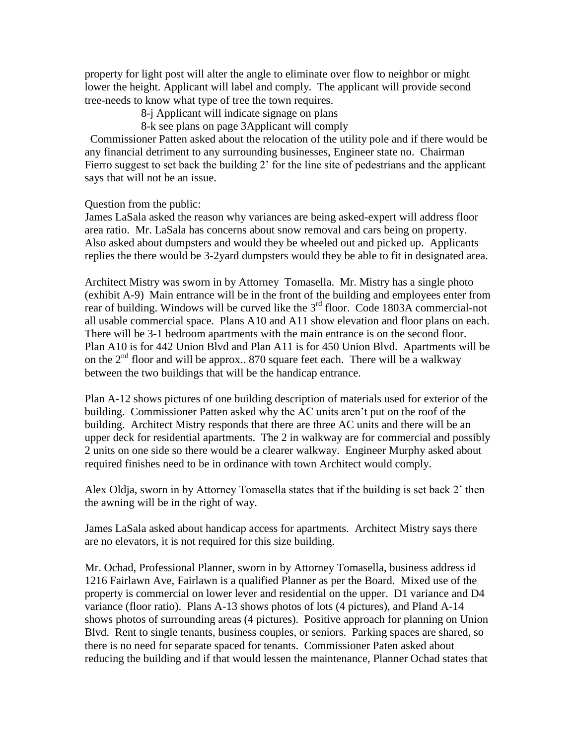property for light post will alter the angle to eliminate over flow to neighbor or might lower the height. Applicant will label and comply. The applicant will provide second tree-needs to know what type of tree the town requires.

8-j Applicant will indicate signage on plans

8-k see plans on page 3Applicant will comply

 Commissioner Patten asked about the relocation of the utility pole and if there would be any financial detriment to any surrounding businesses, Engineer state no. Chairman Fierro suggest to set back the building 2' for the line site of pedestrians and the applicant says that will not be an issue.

Question from the public:

James LaSala asked the reason why variances are being asked-expert will address floor area ratio. Mr. LaSala has concerns about snow removal and cars being on property. Also asked about dumpsters and would they be wheeled out and picked up. Applicants replies the there would be 3-2yard dumpsters would they be able to fit in designated area.

Architect Mistry was sworn in by Attorney Tomasella. Mr. Mistry has a single photo (exhibit A-9) Main entrance will be in the front of the building and employees enter from rear of building. Windows will be curved like the 3<sup>rd</sup> floor. Code 1803A commercial-not all usable commercial space. Plans A10 and A11 show elevation and floor plans on each. There will be 3-1 bedroom apartments with the main entrance is on the second floor. Plan A10 is for 442 Union Blvd and Plan A11 is for 450 Union Blvd. Apartments will be on the  $2<sup>nd</sup>$  floor and will be approx.. 870 square feet each. There will be a walkway between the two buildings that will be the handicap entrance.

Plan A-12 shows pictures of one building description of materials used for exterior of the building. Commissioner Patten asked why the AC units aren't put on the roof of the building. Architect Mistry responds that there are three AC units and there will be an upper deck for residential apartments. The 2 in walkway are for commercial and possibly 2 units on one side so there would be a clearer walkway. Engineer Murphy asked about required finishes need to be in ordinance with town Architect would comply.

Alex Oldja, sworn in by Attorney Tomasella states that if the building is set back 2' then the awning will be in the right of way.

James LaSala asked about handicap access for apartments. Architect Mistry says there are no elevators, it is not required for this size building.

Mr. Ochad, Professional Planner, sworn in by Attorney Tomasella, business address id 1216 Fairlawn Ave, Fairlawn is a qualified Planner as per the Board. Mixed use of the property is commercial on lower lever and residential on the upper. D1 variance and D4 variance (floor ratio). Plans A-13 shows photos of lots (4 pictures), and Pland A-14 shows photos of surrounding areas (4 pictures). Positive approach for planning on Union Blvd. Rent to single tenants, business couples, or seniors. Parking spaces are shared, so there is no need for separate spaced for tenants. Commissioner Paten asked about reducing the building and if that would lessen the maintenance, Planner Ochad states that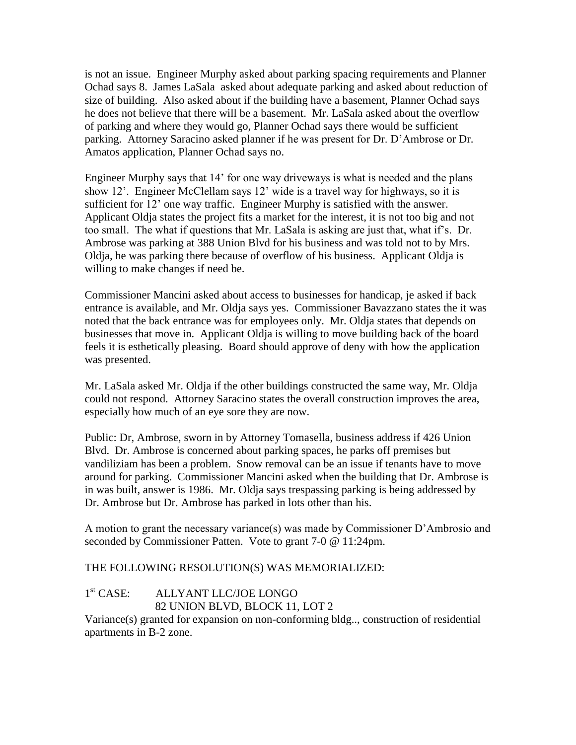is not an issue. Engineer Murphy asked about parking spacing requirements and Planner Ochad says 8. James LaSala asked about adequate parking and asked about reduction of size of building. Also asked about if the building have a basement, Planner Ochad says he does not believe that there will be a basement. Mr. LaSala asked about the overflow of parking and where they would go, Planner Ochad says there would be sufficient parking. Attorney Saracino asked planner if he was present for Dr. D'Ambrose or Dr. Amatos application, Planner Ochad says no.

Engineer Murphy says that 14' for one way driveways is what is needed and the plans show 12'. Engineer McClellam says 12' wide is a travel way for highways, so it is sufficient for 12' one way traffic. Engineer Murphy is satisfied with the answer. Applicant Oldja states the project fits a market for the interest, it is not too big and not too small. The what if questions that Mr. LaSala is asking are just that, what if's. Dr. Ambrose was parking at 388 Union Blvd for his business and was told not to by Mrs. Oldja, he was parking there because of overflow of his business. Applicant Oldja is willing to make changes if need be.

Commissioner Mancini asked about access to businesses for handicap, je asked if back entrance is available, and Mr. Oldja says yes. Commissioner Bavazzano states the it was noted that the back entrance was for employees only. Mr. Oldja states that depends on businesses that move in. Applicant Oldja is willing to move building back of the board feels it is esthetically pleasing. Board should approve of deny with how the application was presented.

Mr. LaSala asked Mr. Oldja if the other buildings constructed the same way, Mr. Oldja could not respond. Attorney Saracino states the overall construction improves the area, especially how much of an eye sore they are now.

Public: Dr, Ambrose, sworn in by Attorney Tomasella, business address if 426 Union Blvd. Dr. Ambrose is concerned about parking spaces, he parks off premises but vandiliziam has been a problem. Snow removal can be an issue if tenants have to move around for parking. Commissioner Mancini asked when the building that Dr. Ambrose is in was built, answer is 1986. Mr. Oldja says trespassing parking is being addressed by Dr. Ambrose but Dr. Ambrose has parked in lots other than his.

A motion to grant the necessary variance(s) was made by Commissioner D'Ambrosio and seconded by Commissioner Patten. Vote to grant 7-0 @ 11:24pm.

## THE FOLLOWING RESOLUTION(S) WAS MEMORIALIZED:

#### $1<sup>st</sup> CASE:$ ALLYANT LLC/JOE LONGO 82 UNION BLVD, BLOCK 11, LOT 2

Variance(s) granted for expansion on non-conforming bldg.., construction of residential apartments in B-2 zone.